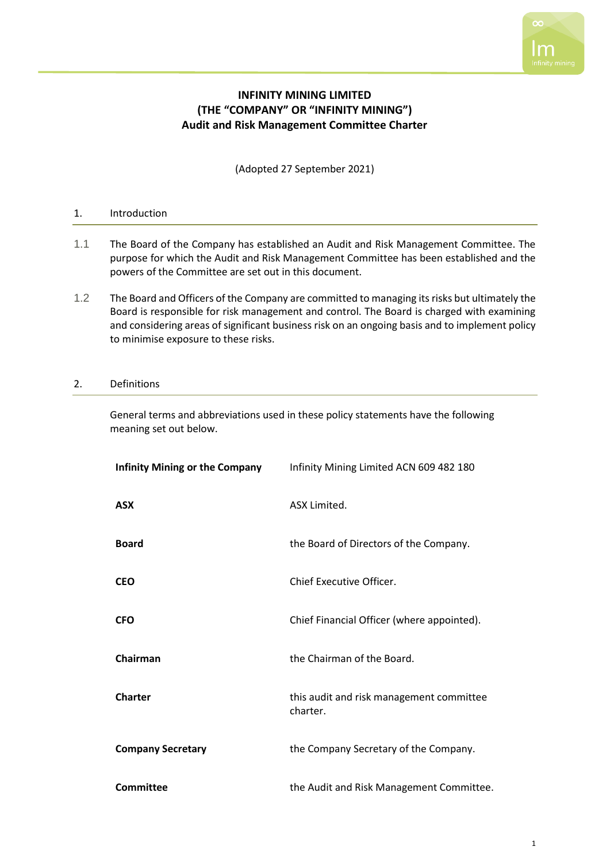

# **INFINITY MINING LIMITED (THE "COMPANY" OR "INFINITY MINING") Audit and Risk Management Committee Charter**

(Adopted 27 September 2021)

## 1. Introduction

- 1.1 The Board of the Company has established an Audit and Risk Management Committee. The purpose for which the Audit and Risk Management Committee has been established and the powers of the Committee are set out in this document.
- 1.2 The Board and Officers of the Company are committed to managing its risks but ultimately the Board is responsible for risk management and control. The Board is charged with examining and considering areas of significant business risk on an ongoing basis and to implement policy to minimise exposure to these risks.

## 2. Definitions

General terms and abbreviations used in these policy statements have the following meaning set out below.

| <b>Infinity Mining or the Company</b> | Infinity Mining Limited ACN 609 482 180              |
|---------------------------------------|------------------------------------------------------|
| <b>ASX</b>                            | ASX Limited.                                         |
| <b>Board</b>                          | the Board of Directors of the Company.               |
| <b>CEO</b>                            | Chief Executive Officer.                             |
| <b>CFO</b>                            | Chief Financial Officer (where appointed).           |
| Chairman                              | the Chairman of the Board.                           |
| <b>Charter</b>                        | this audit and risk management committee<br>charter. |
| <b>Company Secretary</b>              | the Company Secretary of the Company.                |
| Committee                             | the Audit and Risk Management Committee.             |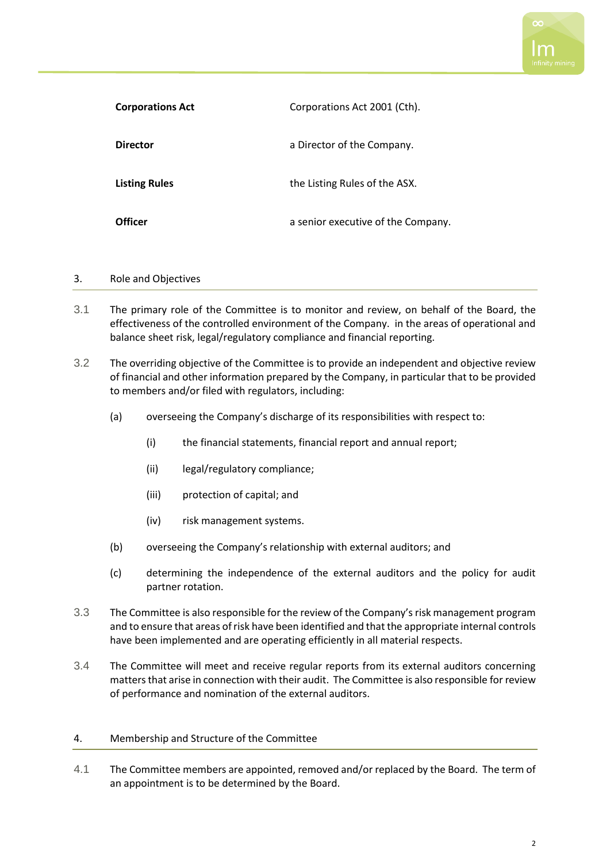

| <b>Corporations Act</b> | Corporations Act 2001 (Cth).       |
|-------------------------|------------------------------------|
| <b>Director</b>         | a Director of the Company.         |
| <b>Listing Rules</b>    | the Listing Rules of the ASX.      |
| <b>Officer</b>          | a senior executive of the Company. |

## 3. Role and Objectives

- 3.1 The primary role of the Committee is to monitor and review, on behalf of the Board, the effectiveness of the controlled environment of the Company. in the areas of operational and balance sheet risk, legal/regulatory compliance and financial reporting.
- 3.2 The overriding objective of the Committee is to provide an independent and objective review of financial and other information prepared by the Company, in particular that to be provided to members and/or filed with regulators, including:
	- (a) overseeing the Company's discharge of its responsibilities with respect to:
		- (i) the financial statements, financial report and annual report;
		- (ii) legal/regulatory compliance;
		- (iii) protection of capital; and
		- (iv) risk management systems.
	- (b) overseeing the Company's relationship with external auditors; and
	- (c) determining the independence of the external auditors and the policy for audit partner rotation.
- 3.3 The Committee is also responsible for the review of the Company's risk management program and to ensure that areas of risk have been identified and that the appropriate internal controls have been implemented and are operating efficiently in all material respects.
- 3.4 The Committee will meet and receive regular reports from its external auditors concerning matters that arise in connection with their audit. The Committee is also responsible for review of performance and nomination of the external auditors.

#### 4. Membership and Structure of the Committee

4.1 The Committee members are appointed, removed and/or replaced by the Board. The term of an appointment is to be determined by the Board.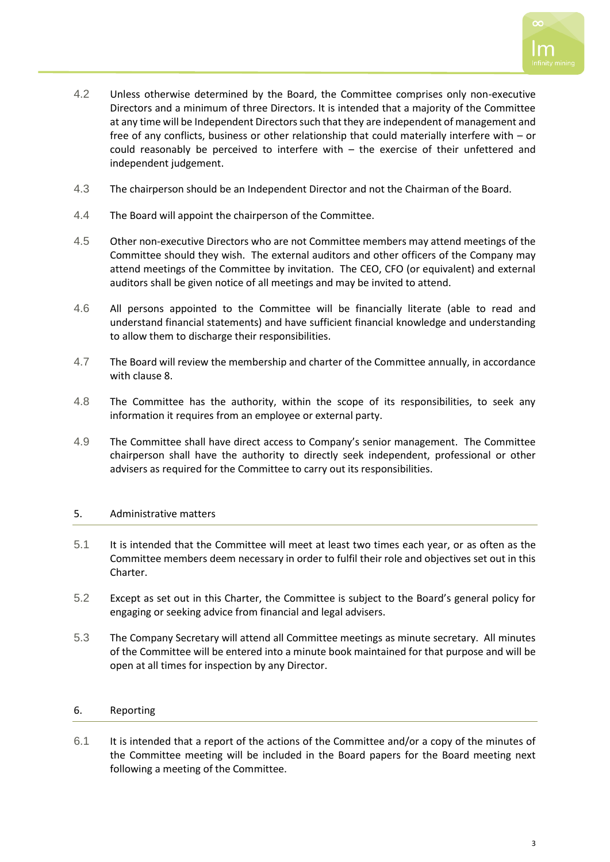

- 4.2 Unless otherwise determined by the Board, the Committee comprises only non-executive Directors and a minimum of three Directors. It is intended that a majority of the Committee at any time will be Independent Directors such that they are independent of management and free of any conflicts, business or other relationship that could materially interfere with – or could reasonably be perceived to interfere with – the exercise of their unfettered and independent judgement.
- 4.3 The chairperson should be an Independent Director and not the Chairman of the Board.
- 4.4 The Board will appoint the chairperson of the Committee.
- 4.5 Other non-executive Directors who are not Committee members may attend meetings of the Committee should they wish. The external auditors and other officers of the Company may attend meetings of the Committee by invitation. The CEO, CFO (or equivalent) and external auditors shall be given notice of all meetings and may be invited to attend.
- 4.6 All persons appointed to the Committee will be financially literate (able to read and understand financial statements) and have sufficient financial knowledge and understanding to allow them to discharge their responsibilities.
- 4.7 The Board will review the membership and charter of the Committee annually, in accordance with clause 8.
- 4.8 The Committee has the authority, within the scope of its responsibilities, to seek any information it requires from an employee or external party.
- 4.9 The Committee shall have direct access to Company's senior management. The Committee chairperson shall have the authority to directly seek independent, professional or other advisers as required for the Committee to carry out its responsibilities.

# 5. Administrative matters

- 5.1 It is intended that the Committee will meet at least two times each year, or as often as the Committee members deem necessary in order to fulfil their role and objectives set out in this Charter.
- 5.2 Except as set out in this Charter, the Committee is subject to the Board's general policy for engaging or seeking advice from financial and legal advisers.
- 5.3 The Company Secretary will attend all Committee meetings as minute secretary. All minutes of the Committee will be entered into a minute book maintained for that purpose and will be open at all times for inspection by any Director.

# 6. Reporting

6.1 It is intended that a report of the actions of the Committee and/or a copy of the minutes of the Committee meeting will be included in the Board papers for the Board meeting next following a meeting of the Committee.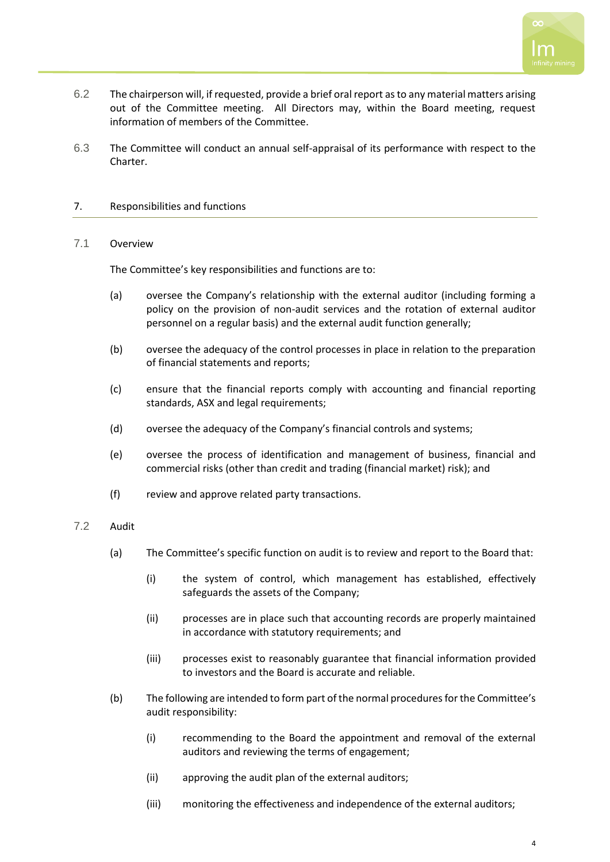

- 6.2 The chairperson will, if requested, provide a brief oral report as to any material matters arising out of the Committee meeting. All Directors may, within the Board meeting, request information of members of the Committee.
- 6.3 The Committee will conduct an annual self-appraisal of its performance with respect to the Charter.

## 7. Responsibilities and functions

#### 7.1 Overview

The Committee's key responsibilities and functions are to:

- (a) oversee the Company's relationship with the external auditor (including forming a policy on the provision of non-audit services and the rotation of external auditor personnel on a regular basis) and the external audit function generally;
- (b) oversee the adequacy of the control processes in place in relation to the preparation of financial statements and reports;
- (c) ensure that the financial reports comply with accounting and financial reporting standards, ASX and legal requirements;
- (d) oversee the adequacy of the Company's financial controls and systems;
- (e) oversee the process of identification and management of business, financial and commercial risks (other than credit and trading (financial market) risk); and
- (f) review and approve related party transactions.

#### 7.2 Audit

- (a) The Committee's specific function on audit is to review and report to the Board that:
	- (i) the system of control, which management has established, effectively safeguards the assets of the Company;
	- (ii) processes are in place such that accounting records are properly maintained in accordance with statutory requirements; and
	- (iii) processes exist to reasonably guarantee that financial information provided to investors and the Board is accurate and reliable.
- (b) The following are intended to form part of the normal procedures for the Committee's audit responsibility:
	- (i) recommending to the Board the appointment and removal of the external auditors and reviewing the terms of engagement;
	- (ii) approving the audit plan of the external auditors;
	- (iii) monitoring the effectiveness and independence of the external auditors;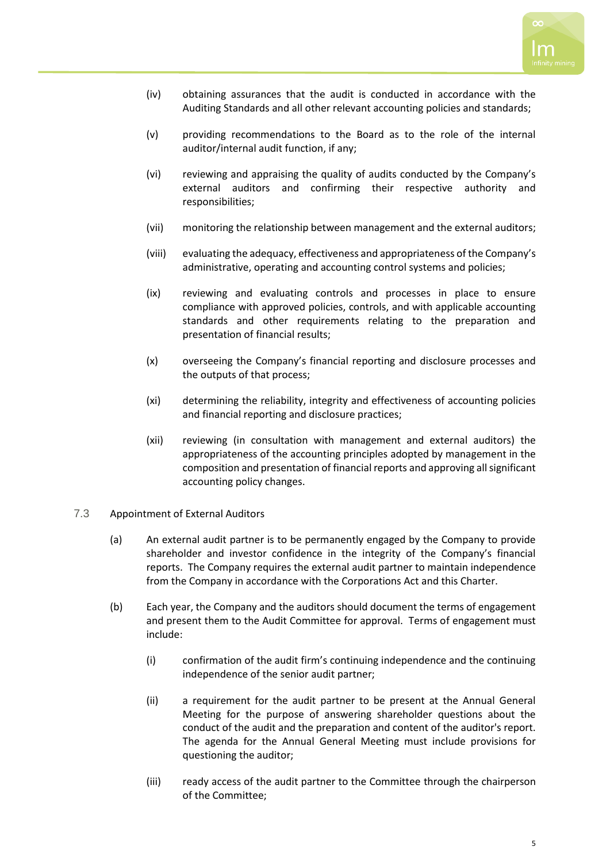

- (iv) obtaining assurances that the audit is conducted in accordance with the Auditing Standards and all other relevant accounting policies and standards;
- (v) providing recommendations to the Board as to the role of the internal auditor/internal audit function, if any;
- (vi) reviewing and appraising the quality of audits conducted by the Company's external auditors and confirming their respective authority and responsibilities;
- (vii) monitoring the relationship between management and the external auditors;
- (viii) evaluating the adequacy, effectiveness and appropriateness of the Company's administrative, operating and accounting control systems and policies;
- (ix) reviewing and evaluating controls and processes in place to ensure compliance with approved policies, controls, and with applicable accounting standards and other requirements relating to the preparation and presentation of financial results;
- (x) overseeing the Company's financial reporting and disclosure processes and the outputs of that process;
- (xi) determining the reliability, integrity and effectiveness of accounting policies and financial reporting and disclosure practices;
- (xii) reviewing (in consultation with management and external auditors) the appropriateness of the accounting principles adopted by management in the composition and presentation of financial reports and approving all significant accounting policy changes.
- 7.3 Appointment of External Auditors
	- (a) An external audit partner is to be permanently engaged by the Company to provide shareholder and investor confidence in the integrity of the Company's financial reports. The Company requires the external audit partner to maintain independence from the Company in accordance with the Corporations Act and this Charter.
	- (b) Each year, the Company and the auditors should document the terms of engagement and present them to the Audit Committee for approval. Terms of engagement must include:
		- (i) confirmation of the audit firm's continuing independence and the continuing independence of the senior audit partner;
		- (ii) a requirement for the audit partner to be present at the Annual General Meeting for the purpose of answering shareholder questions about the conduct of the audit and the preparation and content of the auditor's report. The agenda for the Annual General Meeting must include provisions for questioning the auditor;
		- (iii) ready access of the audit partner to the Committee through the chairperson of the Committee;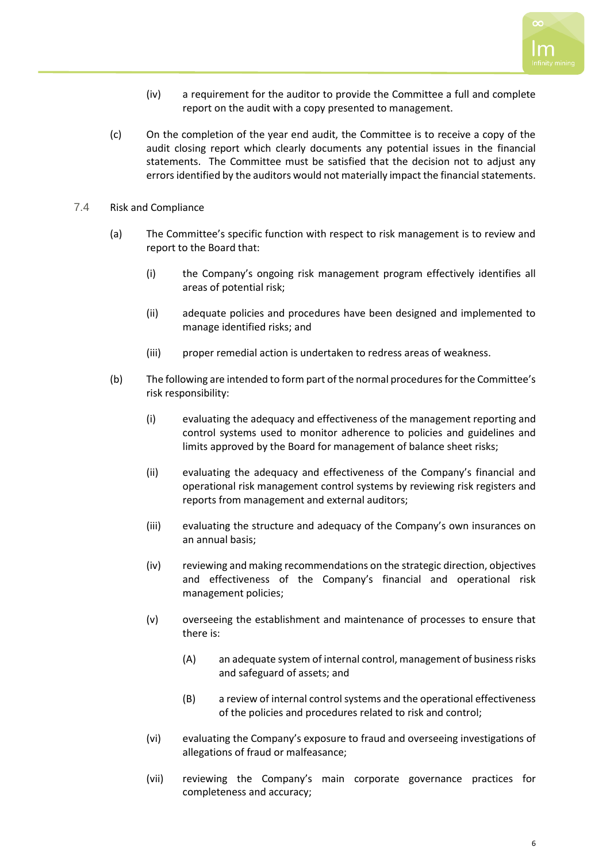

- (iv) a requirement for the auditor to provide the Committee a full and complete report on the audit with a copy presented to management.
- (c) On the completion of the year end audit, the Committee is to receive a copy of the audit closing report which clearly documents any potential issues in the financial statements. The Committee must be satisfied that the decision not to adjust any errors identified by the auditors would not materially impact the financial statements.
- 7.4 Risk and Compliance
	- (a) The Committee's specific function with respect to risk management is to review and report to the Board that:
		- (i) the Company's ongoing risk management program effectively identifies all areas of potential risk;
		- (ii) adequate policies and procedures have been designed and implemented to manage identified risks; and
		- (iii) proper remedial action is undertaken to redress areas of weakness.
	- (b) The following are intended to form part of the normal procedures for the Committee's risk responsibility:
		- (i) evaluating the adequacy and effectiveness of the management reporting and control systems used to monitor adherence to policies and guidelines and limits approved by the Board for management of balance sheet risks;
		- (ii) evaluating the adequacy and effectiveness of the Company's financial and operational risk management control systems by reviewing risk registers and reports from management and external auditors;
		- (iii) evaluating the structure and adequacy of the Company's own insurances on an annual basis;
		- (iv) reviewing and making recommendations on the strategic direction, objectives and effectiveness of the Company's financial and operational risk management policies;
		- (v) overseeing the establishment and maintenance of processes to ensure that there is:
			- (A) an adequate system of internal control, management of business risks and safeguard of assets; and
			- (B) a review of internal control systems and the operational effectiveness of the policies and procedures related to risk and control;
		- (vi) evaluating the Company's exposure to fraud and overseeing investigations of allegations of fraud or malfeasance;
		- (vii) reviewing the Company's main corporate governance practices for completeness and accuracy;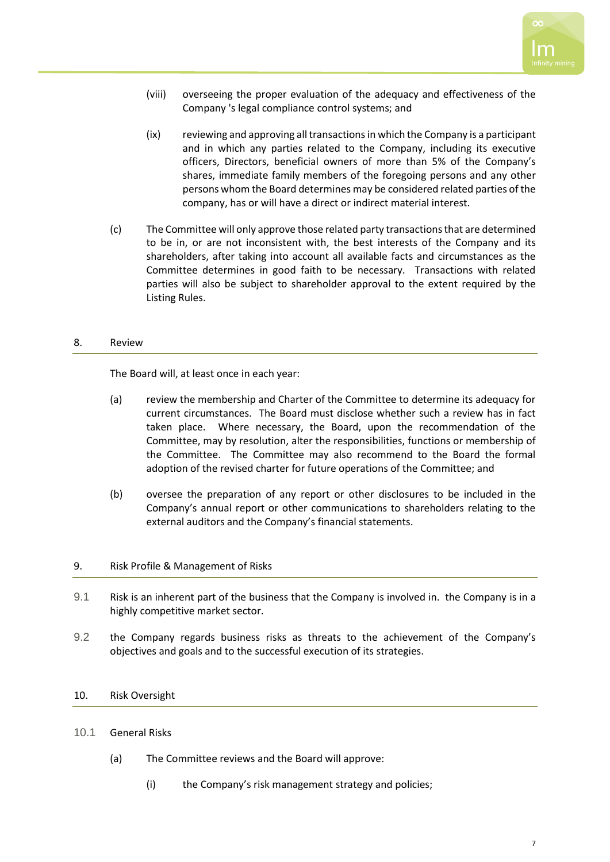

- (viii) overseeing the proper evaluation of the adequacy and effectiveness of the Company 's legal compliance control systems; and
- (ix) reviewing and approving all transactions in which the Company is a participant and in which any parties related to the Company, including its executive officers, Directors, beneficial owners of more than 5% of the Company's shares, immediate family members of the foregoing persons and any other persons whom the Board determines may be considered related parties of the company, has or will have a direct or indirect material interest.
- (c) The Committee will only approve those related party transactions that are determined to be in, or are not inconsistent with, the best interests of the Company and its shareholders, after taking into account all available facts and circumstances as the Committee determines in good faith to be necessary. Transactions with related parties will also be subject to shareholder approval to the extent required by the Listing Rules.

## 8. Review

The Board will, at least once in each year:

- (a) review the membership and Charter of the Committee to determine its adequacy for current circumstances. The Board must disclose whether such a review has in fact taken place. Where necessary, the Board, upon the recommendation of the Committee, may by resolution, alter the responsibilities, functions or membership of the Committee. The Committee may also recommend to the Board the formal adoption of the revised charter for future operations of the Committee; and
- (b) oversee the preparation of any report or other disclosures to be included in the Company's annual report or other communications to shareholders relating to the external auditors and the Company's financial statements.

#### 9. Risk Profile & Management of Risks

- 9.1 Risk is an inherent part of the business that the Company is involved in. the Company is in a highly competitive market sector.
- 9.2 the Company regards business risks as threats to the achievement of the Company's objectives and goals and to the successful execution of its strategies.

#### 10. Risk Oversight

#### 10.1 General Risks

- (a) The Committee reviews and the Board will approve:
	- (i) the Company's risk management strategy and policies;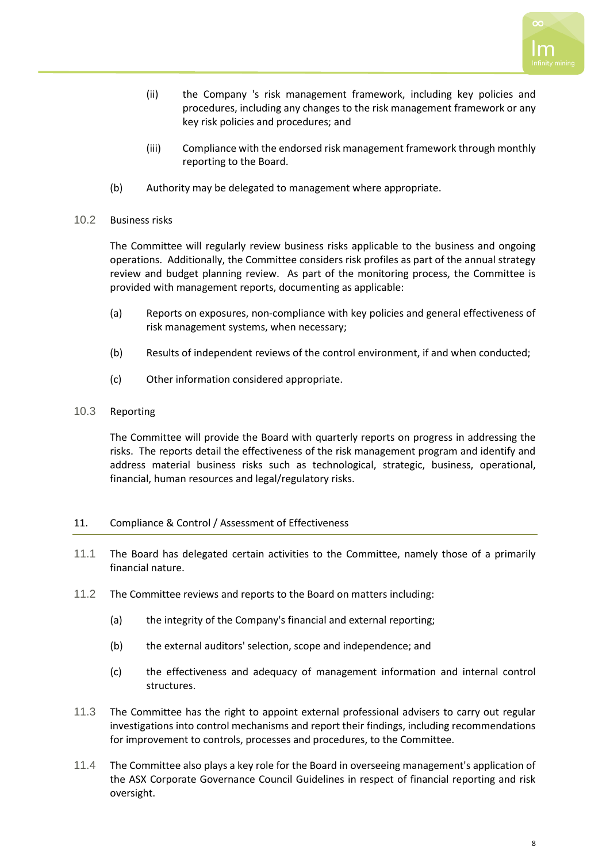

- (ii) the Company 's risk management framework, including key policies and procedures, including any changes to the risk management framework or any key risk policies and procedures; and
- (iii) Compliance with the endorsed risk management framework through monthly reporting to the Board.
- (b) Authority may be delegated to management where appropriate.

## 10.2 Business risks

The Committee will regularly review business risks applicable to the business and ongoing operations. Additionally, the Committee considers risk profiles as part of the annual strategy review and budget planning review. As part of the monitoring process, the Committee is provided with management reports, documenting as applicable:

- (a) Reports on exposures, non-compliance with key policies and general effectiveness of risk management systems, when necessary;
- (b) Results of independent reviews of the control environment, if and when conducted;
- (c) Other information considered appropriate.

## 10.3 Reporting

The Committee will provide the Board with quarterly reports on progress in addressing the risks. The reports detail the effectiveness of the risk management program and identify and address material business risks such as technological, strategic, business, operational, financial, human resources and legal/regulatory risks.

#### 11. Compliance & Control / Assessment of Effectiveness

- 11.1 The Board has delegated certain activities to the Committee, namely those of a primarily financial nature.
- 11.2 The Committee reviews and reports to the Board on matters including:
	- (a) the integrity of the Company's financial and external reporting;
	- (b) the external auditors' selection, scope and independence; and
	- (c) the effectiveness and adequacy of management information and internal control structures.
- 11.3 The Committee has the right to appoint external professional advisers to carry out regular investigations into control mechanisms and report their findings, including recommendations for improvement to controls, processes and procedures, to the Committee.
- 11.4 The Committee also plays a key role for the Board in overseeing management's application of the ASX Corporate Governance Council Guidelines in respect of financial reporting and risk oversight.